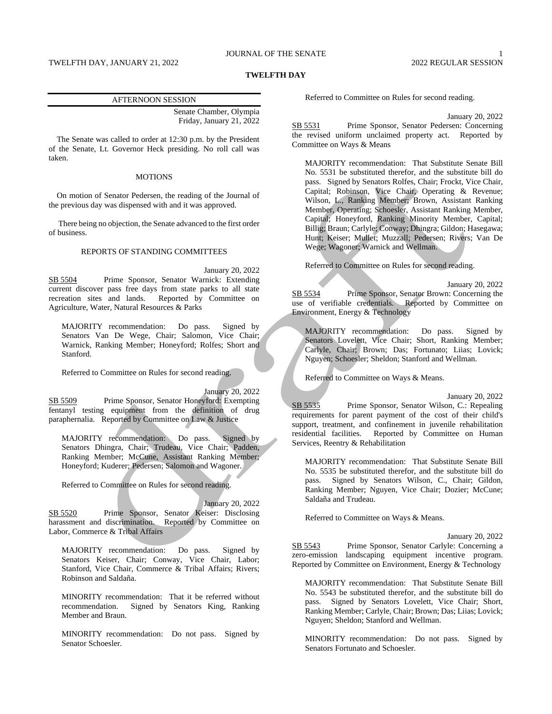### JOURNAL OF THE SENATE 1

#### **TWELFTH DAY**

#### AFTERNOON SESSION

Senate Chamber, Olympia Friday, January 21, 2022

The Senate was called to order at 12:30 p.m. by the President of the Senate, Lt. Governor Heck presiding. No roll call was taken.

#### **MOTIONS**

On motion of Senator Pedersen, the reading of the Journal of the previous day was dispensed with and it was approved.

There being no objection, the Senate advanced to the first order of business.

#### REPORTS OF STANDING COMMITTEES

January 20, 2022 SB 5504 Prime Sponsor, Senator Warnick: Extending current discover pass free days from state parks to all state recreation sites and lands. Reported by Committee on Agriculture, Water, Natural Resources & Parks

MAJORITY recommendation: Do pass. Signed by Senators Van De Wege, Chair; Salomon, Vice Chair; Warnick, Ranking Member; Honeyford; Rolfes; Short and Stanford.

Referred to Committee on Rules for second reading.

January 20, 2022 SB 5509 Prime Sponsor, Senator Honeyford: Exempting fentanyl testing equipment from the definition of drug paraphernalia. Reported by Committee on Law & Justice

MAJORITY recommendation: Do pass. Signed by Senators Dhingra, Chair; Trudeau, Vice Chair; Padden, Ranking Member; McCune, Assistant Ranking Member; Honeyford; Kuderer; Pedersen; Salomon and Wagoner.

Referred to Committee on Rules for second reading.

January 20, 2022 SB 5520 Prime Sponsor, Senator Keiser: Disclosing harassment and discrimination. Reported by Committee on Labor, Commerce & Tribal Affairs

MAJORITY recommendation: Do pass. Signed by Senators Keiser, Chair; Conway, Vice Chair, Labor; Stanford, Vice Chair, Commerce & Tribal Affairs; Rivers; Robinson and Saldaña.

MINORITY recommendation: That it be referred without recommendation. Signed by Senators King, Ranking Member and Braun.

MINORITY recommendation: Do not pass. Signed by Senator Schoesler.

Referred to Committee on Rules for second reading.

January 20, 2022 SB 5531 Prime Sponsor, Senator Pedersen: Concerning the revised uniform unclaimed property act. Reported by Committee on Ways & Means

MAJORITY recommendation: That Substitute Senate Bill No. 5531 be substituted therefor, and the substitute bill do pass. Signed by Senators Rolfes, Chair; Frockt, Vice Chair, Capital; Robinson, Vice Chair, Operating & Revenue; Wilson, L., Ranking Member; Brown, Assistant Ranking Member, Operating; Schoesler, Assistant Ranking Member, Capital; Honeyford, Ranking Minority Member, Capital; Billig; Braun; Carlyle; Conway; Dhingra; Gildon; Hasegawa; Hunt; Keiser; Mullet; Muzzall; Pedersen; Rivers; Van De Wege; Wagoner; Warnick and Wellman.

Referred to Committee on Rules for second reading.

January 20, 2022 SB 5534 Prime Sponsor, Senator Brown: Concerning the use of verifiable credentials. Reported by Committee on Environment, Energy & Technology

MAJORITY recommendation: Do pass. Signed by Senators Lovelett, Vice Chair; Short, Ranking Member; Carlyle, Chair; Brown; Das; Fortunato; Liias; Lovick; Nguyen; Schoesler; Sheldon; Stanford and Wellman.

Referred to Committee on Ways & Means.

January 20, 2022

SB 5535 Prime Sponsor, Senator Wilson, C.: Repealing requirements for parent payment of the cost of their child's support, treatment, and confinement in juvenile rehabilitation residential facilities. Reported by Committee on Human Services, Reentry & Rehabilitation

MAJORITY recommendation: That Substitute Senate Bill No. 5535 be substituted therefor, and the substitute bill do pass. Signed by Senators Wilson, C., Chair; Gildon, Ranking Member; Nguyen, Vice Chair; Dozier; McCune; Saldaña and Trudeau.

Referred to Committee on Ways & Means.

January 20, 2022

SB 5543 Prime Sponsor, Senator Carlyle: Concerning a zero-emission landscaping equipment incentive program. Reported by Committee on Environment, Energy & Technology

MAJORITY recommendation: That Substitute Senate Bill No. 5543 be substituted therefor, and the substitute bill do pass. Signed by Senators Lovelett, Vice Chair; Short, Ranking Member; Carlyle, Chair; Brown; Das; Liias; Lovick; Nguyen; Sheldon; Stanford and Wellman.

MINORITY recommendation: Do not pass. Signed by Senators Fortunato and Schoesler.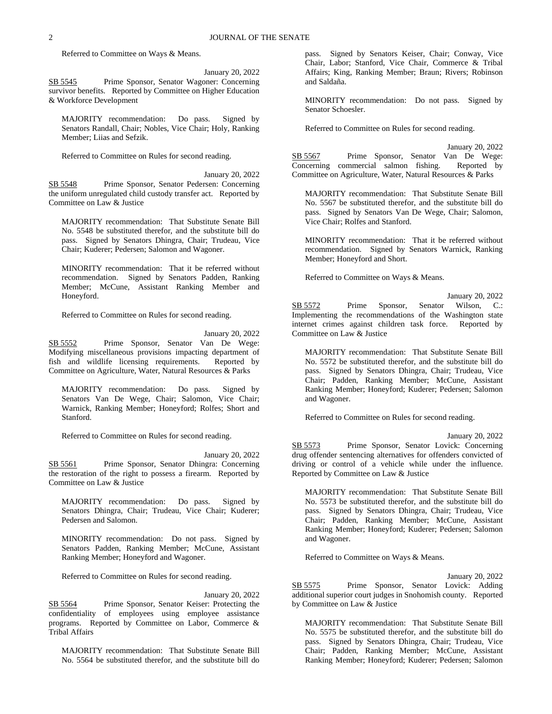Referred to Committee on Ways & Means.

January 20, 2022

SB 5545 Prime Sponsor, Senator Wagoner: Concerning survivor benefits. Reported by Committee on Higher Education & Workforce Development

MAJORITY recommendation: Do pass. Signed by Senators Randall, Chair; Nobles, Vice Chair; Holy, Ranking Member; Liias and Sefzik.

Referred to Committee on Rules for second reading.

January 20, 2022 SB 5548 Prime Sponsor, Senator Pedersen: Concerning the uniform unregulated child custody transfer act. Reported by Committee on Law & Justice

MAJORITY recommendation: That Substitute Senate Bill No. 5548 be substituted therefor, and the substitute bill do pass. Signed by Senators Dhingra, Chair; Trudeau, Vice Chair; Kuderer; Pedersen; Salomon and Wagoner.

MINORITY recommendation: That it be referred without recommendation. Signed by Senators Padden, Ranking Member; McCune, Assistant Ranking Member and Honeyford.

Referred to Committee on Rules for second reading.

January 20, 2022 SB 5552 Prime Sponsor, Senator Van De Wege: Modifying miscellaneous provisions impacting department of fish and wildlife licensing requirements. Reported by Committee on Agriculture, Water, Natural Resources & Parks

MAJORITY recommendation: Do pass. Signed by Senators Van De Wege, Chair; Salomon, Vice Chair; Warnick, Ranking Member; Honeyford; Rolfes; Short and Stanford.

Referred to Committee on Rules for second reading.

January 20, 2022 SB 5561 Prime Sponsor, Senator Dhingra: Concerning the restoration of the right to possess a firearm. Reported by Committee on Law & Justice

MAJORITY recommendation: Do pass. Signed by Senators Dhingra, Chair; Trudeau, Vice Chair; Kuderer; Pedersen and Salomon.

MINORITY recommendation: Do not pass. Signed by Senators Padden, Ranking Member; McCune, Assistant Ranking Member; Honeyford and Wagoner.

Referred to Committee on Rules for second reading.

January 20, 2022 SB 5564 Prime Sponsor, Senator Keiser: Protecting the

confidentiality of employees using employee assistance programs. Reported by Committee on Labor, Commerce & Tribal Affairs

MAJORITY recommendation: That Substitute Senate Bill No. 5564 be substituted therefor, and the substitute bill do

pass. Signed by Senators Keiser, Chair; Conway, Vice Chair, Labor; Stanford, Vice Chair, Commerce & Tribal Affairs; King, Ranking Member; Braun; Rivers; Robinson and Saldaña.

MINORITY recommendation: Do not pass. Signed by Senator Schoesler.

Referred to Committee on Rules for second reading.

January 20, 2022 SB 5567 Prime Sponsor, Senator Van De Wege: Concerning commercial salmon fishing. Reported by Committee on Agriculture, Water, Natural Resources & Parks

MAJORITY recommendation: That Substitute Senate Bill No. 5567 be substituted therefor, and the substitute bill do pass. Signed by Senators Van De Wege, Chair; Salomon, Vice Chair; Rolfes and Stanford.

MINORITY recommendation: That it be referred without recommendation. Signed by Senators Warnick, Ranking Member; Honeyford and Short.

Referred to Committee on Ways & Means.

January 20, 2022 SB 5572 Prime Sponsor, Senator Wilson, C.: Implementing the recommendations of the Washington state internet crimes against children task force. Reported by Committee on Law & Justice

MAJORITY recommendation: That Substitute Senate Bill No. 5572 be substituted therefor, and the substitute bill do pass. Signed by Senators Dhingra, Chair; Trudeau, Vice Chair; Padden, Ranking Member; McCune, Assistant Ranking Member; Honeyford; Kuderer; Pedersen; Salomon and Wagoner.

Referred to Committee on Rules for second reading.

January 20, 2022

SB 5573 Prime Sponsor, Senator Lovick: Concerning drug offender sentencing alternatives for offenders convicted of driving or control of a vehicle while under the influence. Reported by Committee on Law & Justice

MAJORITY recommendation: That Substitute Senate Bill No. 5573 be substituted therefor, and the substitute bill do pass. Signed by Senators Dhingra, Chair; Trudeau, Vice Chair; Padden, Ranking Member; McCune, Assistant Ranking Member; Honeyford; Kuderer; Pedersen; Salomon and Wagoner.

Referred to Committee on Ways & Means.

January 20, 2022 SB 5575 Prime Sponsor, Senator Lovick: Adding additional superior court judges in Snohomish county. Reported by Committee on Law & Justice

MAJORITY recommendation: That Substitute Senate Bill No. 5575 be substituted therefor, and the substitute bill do pass. Signed by Senators Dhingra, Chair; Trudeau, Vice Chair; Padden, Ranking Member; McCune, Assistant Ranking Member; Honeyford; Kuderer; Pedersen; Salomon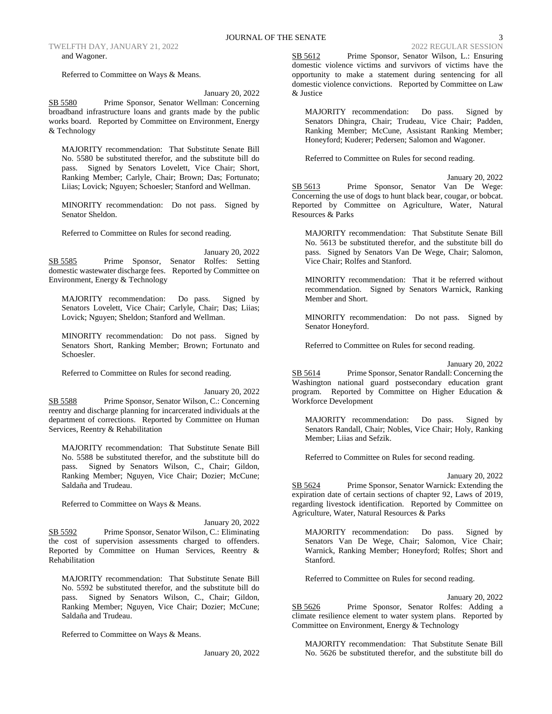Referred to Committee on Ways & Means.

#### January 20, 2022

SB 5580 Prime Sponsor, Senator Wellman: Concerning broadband infrastructure loans and grants made by the public works board. Reported by Committee on Environment, Energy & Technology

MAJORITY recommendation: That Substitute Senate Bill No. 5580 be substituted therefor, and the substitute bill do pass. Signed by Senators Lovelett, Vice Chair; Short, Ranking Member; Carlyle, Chair; Brown; Das; Fortunato; Liias; Lovick; Nguyen; Schoesler; Stanford and Wellman.

MINORITY recommendation: Do not pass. Signed by Senator Sheldon.

Referred to Committee on Rules for second reading.

January 20, 2022 SB 5585 Prime Sponsor, Senator Rolfes: Setting domestic wastewater discharge fees. Reported by Committee on Environment, Energy & Technology

MAJORITY recommendation: Do pass. Signed by Senators Lovelett, Vice Chair; Carlyle, Chair; Das; Liias; Lovick; Nguyen; Sheldon; Stanford and Wellman.

MINORITY recommendation: Do not pass. Signed by Senators Short, Ranking Member; Brown; Fortunato and Schoesler.

Referred to Committee on Rules for second reading.

January 20, 2022 SB 5588 Prime Sponsor, Senator Wilson, C.: Concerning reentry and discharge planning for incarcerated individuals at the department of corrections. Reported by Committee on Human Services, Reentry & Rehabilitation

MAJORITY recommendation: That Substitute Senate Bill No. 5588 be substituted therefor, and the substitute bill do pass. Signed by Senators Wilson, C., Chair; Gildon, Ranking Member; Nguyen, Vice Chair; Dozier; McCune; Saldaña and Trudeau.

Referred to Committee on Ways & Means.

January 20, 2022 SB 5592 Prime Sponsor, Senator Wilson, C.: Eliminating the cost of supervision assessments charged to offenders. Reported by Committee on Human Services, Reentry & Rehabilitation

MAJORITY recommendation: That Substitute Senate Bill No. 5592 be substituted therefor, and the substitute bill do pass. Signed by Senators Wilson, C., Chair; Gildon, Ranking Member; Nguyen, Vice Chair; Dozier; McCune; Saldaña and Trudeau.

Referred to Committee on Ways & Means.

January 20, 2022

SB 5612 Prime Sponsor, Senator Wilson, L.: Ensuring domestic violence victims and survivors of victims have the opportunity to make a statement during sentencing for all domestic violence convictions. Reported by Committee on Law & Justice

MAJORITY recommendation: Do pass. Signed by Senators Dhingra, Chair; Trudeau, Vice Chair; Padden, Ranking Member; McCune, Assistant Ranking Member; Honeyford; Kuderer; Pedersen; Salomon and Wagoner.

Referred to Committee on Rules for second reading.

January 20, 2022 SB 5613 Prime Sponsor, Senator Van De Wege: Concerning the use of dogs to hunt black bear, cougar, or bobcat. Reported by Committee on Agriculture, Water, Natural Resources & Parks

MAJORITY recommendation: That Substitute Senate Bill No. 5613 be substituted therefor, and the substitute bill do pass. Signed by Senators Van De Wege, Chair; Salomon, Vice Chair; Rolfes and Stanford.

MINORITY recommendation: That it be referred without recommendation. Signed by Senators Warnick, Ranking Member and Short.

MINORITY recommendation: Do not pass. Signed by Senator Honeyford.

Referred to Committee on Rules for second reading.

January 20, 2022 SB 5614 Prime Sponsor, Senator Randall: Concerning the Washington national guard postsecondary education grant program. Reported by Committee on Higher Education & Workforce Development

MAJORITY recommendation: Do pass. Signed by Senators Randall, Chair; Nobles, Vice Chair; Holy, Ranking Member; Liias and Sefzik.

Referred to Committee on Rules for second reading.

January 20, 2022

SB 5624 Prime Sponsor, Senator Warnick: Extending the expiration date of certain sections of chapter 92, Laws of 2019, regarding livestock identification. Reported by Committee on Agriculture, Water, Natural Resources & Parks

MAJORITY recommendation: Do pass. Signed by Senators Van De Wege, Chair; Salomon, Vice Chair; Warnick, Ranking Member; Honeyford; Rolfes; Short and Stanford.

Referred to Committee on Rules for second reading.

January 20, 2022

SB 5626 Prime Sponsor, Senator Rolfes: Adding a climate resilience element to water system plans. Reported by Committee on Environment, Energy & Technology

MAJORITY recommendation: That Substitute Senate Bill No. 5626 be substituted therefor, and the substitute bill do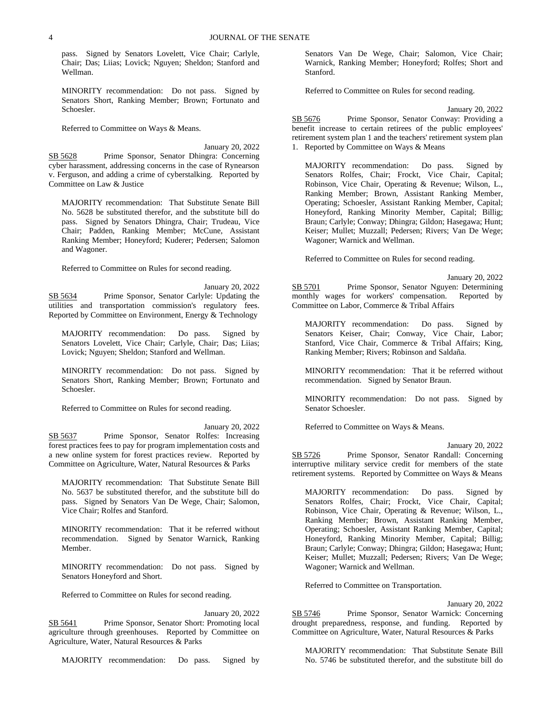pass. Signed by Senators Lovelett, Vice Chair; Carlyle, Chair; Das; Liias; Lovick; Nguyen; Sheldon; Stanford and Wellman.

MINORITY recommendation: Do not pass. Signed by Senators Short, Ranking Member; Brown; Fortunato and Schoesler.

Referred to Committee on Ways & Means.

January 20, 2022 SB 5628 Prime Sponsor, Senator Dhingra: Concerning cyber harassment, addressing concerns in the case of Rynearson v. Ferguson, and adding a crime of cyberstalking. Reported by Committee on Law & Justice

MAJORITY recommendation: That Substitute Senate Bill No. 5628 be substituted therefor, and the substitute bill do pass. Signed by Senators Dhingra, Chair; Trudeau, Vice Chair; Padden, Ranking Member; McCune, Assistant Ranking Member; Honeyford; Kuderer; Pedersen; Salomon and Wagoner.

Referred to Committee on Rules for second reading.

January 20, 2022 SB 5634 Prime Sponsor, Senator Carlyle: Updating the utilities and transportation commission's regulatory fees. Reported by Committee on Environment, Energy & Technology

MAJORITY recommendation: Do pass. Signed by Senators Lovelett, Vice Chair; Carlyle, Chair; Das; Liias; Lovick; Nguyen; Sheldon; Stanford and Wellman.

MINORITY recommendation: Do not pass. Signed by Senators Short, Ranking Member; Brown; Fortunato and Schoesler.

Referred to Committee on Rules for second reading.

Committee on Agriculture, Water, Natural Resources & Parks

January 20, 2022 SB 5637 Prime Sponsor, Senator Rolfes: Increasing forest practices fees to pay for program implementation costs and a new online system for forest practices review. Reported by

MAJORITY recommendation: That Substitute Senate Bill No. 5637 be substituted therefor, and the substitute bill do pass. Signed by Senators Van De Wege, Chair; Salomon, Vice Chair; Rolfes and Stanford.

MINORITY recommendation: That it be referred without recommendation. Signed by Senator Warnick, Ranking Member.

MINORITY recommendation: Do not pass. Signed by Senators Honeyford and Short.

Referred to Committee on Rules for second reading.

January 20, 2022 SB 5641 Prime Sponsor, Senator Short: Promoting local agriculture through greenhouses. Reported by Committee on Agriculture, Water, Natural Resources & Parks

MAJORITY recommendation: Do pass. Signed by

Senators Van De Wege, Chair; Salomon, Vice Chair; Warnick, Ranking Member; Honeyford; Rolfes; Short and Stanford.

Referred to Committee on Rules for second reading.

January 20, 2022

SB 5676 Prime Sponsor, Senator Conway: Providing a benefit increase to certain retirees of the public employees' retirement system plan 1 and the teachers' retirement system plan 1. Reported by Committee on Ways & Means

MAJORITY recommendation: Do pass. Signed by Senators Rolfes, Chair; Frockt, Vice Chair, Capital; Robinson, Vice Chair, Operating & Revenue; Wilson, L., Ranking Member; Brown, Assistant Ranking Member, Operating; Schoesler, Assistant Ranking Member, Capital; Honeyford, Ranking Minority Member, Capital; Billig; Braun; Carlyle; Conway; Dhingra; Gildon; Hasegawa; Hunt; Keiser; Mullet; Muzzall; Pedersen; Rivers; Van De Wege; Wagoner; Warnick and Wellman.

Referred to Committee on Rules for second reading.

January 20, 2022 SB 5701 Prime Sponsor, Senator Nguyen: Determining monthly wages for workers' compensation. Reported by Committee on Labor, Commerce & Tribal Affairs

MAJORITY recommendation: Do pass. Signed by Senators Keiser, Chair; Conway, Vice Chair, Labor; Stanford, Vice Chair, Commerce & Tribal Affairs; King, Ranking Member; Rivers; Robinson and Saldaña.

MINORITY recommendation: That it be referred without recommendation. Signed by Senator Braun.

MINORITY recommendation: Do not pass. Signed by Senator Schoesler.

Referred to Committee on Ways & Means.

January 20, 2022

SB 5726 Prime Sponsor, Senator Randall: Concerning interruptive military service credit for members of the state retirement systems. Reported by Committee on Ways & Means

MAJORITY recommendation: Do pass. Signed by Senators Rolfes, Chair; Frockt, Vice Chair, Capital; Robinson, Vice Chair, Operating & Revenue; Wilson, L., Ranking Member; Brown, Assistant Ranking Member, Operating; Schoesler, Assistant Ranking Member, Capital; Honeyford, Ranking Minority Member, Capital; Billig; Braun; Carlyle; Conway; Dhingra; Gildon; Hasegawa; Hunt; Keiser; Mullet; Muzzall; Pedersen; Rivers; Van De Wege; Wagoner; Warnick and Wellman.

Referred to Committee on Transportation.

January 20, 2022

SB 5746 Prime Sponsor, Senator Warnick: Concerning drought preparedness, response, and funding. Reported by Committee on Agriculture, Water, Natural Resources & Parks

MAJORITY recommendation: That Substitute Senate Bill No. 5746 be substituted therefor, and the substitute bill do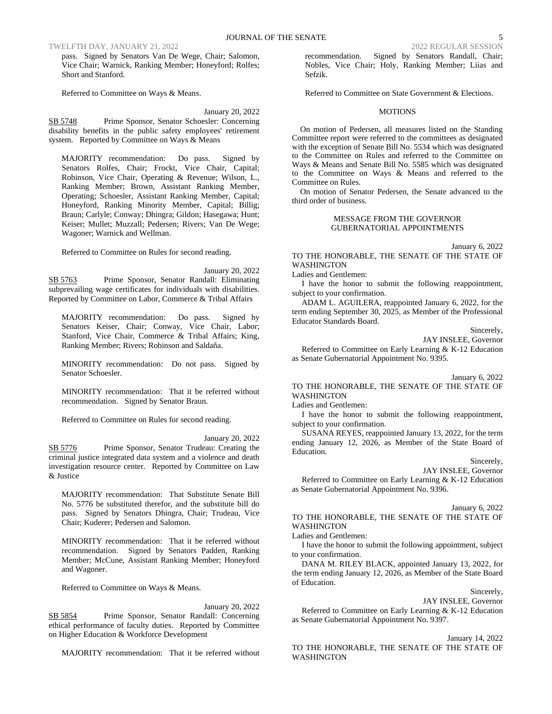TWELFTH DAY, JANUARY 21, 2022 2022 REGULAR SESSION

pass. Signed by Senators Van De Wege, Chair; Salomon, Vice Chair; Warnick, Ranking Member; Honeyford; Rolfes; Short and Stanford.

Referred to Committee on Ways & Means.

January 20, 2022

SB 5748 Prime Sponsor, Senator Schoesler: Concerning disability benefits in the public safety employees' retirement system. Reported by Committee on Ways & Means

MAJORITY recommendation: Do pass. Signed by Senators Rolfes, Chair; Frockt, Vice Chair, Capital; Robinson, Vice Chair, Operating & Revenue; Wilson, L., Ranking Member; Brown, Assistant Ranking Member, Operating; Schoesler, Assistant Ranking Member, Capital; Honeyford, Ranking Minority Member, Capital; Billig; Braun; Carlyle; Conway; Dhingra; Gildon; Hasegawa; Hunt; Keiser; Mullet; Muzzall; Pedersen; Rivers; Van De Wege; Wagoner; Warnick and Wellman.

Referred to Committee on Rules for second reading.

January 20, 2022 SB 5763 Prime Sponsor, Senator Randall: Eliminating subprevailing wage certificates for individuals with disabilities. Reported by Committee on Labor, Commerce & Tribal Affairs

MAJORITY recommendation: Do pass. Signed by Senators Keiser, Chair; Conway, Vice Chair, Labor; Stanford, Vice Chair, Commerce & Tribal Affairs; King, Ranking Member; Rivers; Robinson and Saldaña.

MINORITY recommendation: Do not pass. Signed by Senator Schoesler.

MINORITY recommendation: That it be referred without recommendation. Signed by Senator Braun.

Referred to Committee on Rules for second reading.

January 20, 2022

SB 5776 Prime Sponsor, Senator Trudeau: Creating the criminal justice integrated data system and a violence and death investigation resource center. Reported by Committee on Law & Justice

MAJORITY recommendation: That Substitute Senate Bill No. 5776 be substituted therefor, and the substitute bill do pass. Signed by Senators Dhingra, Chair; Trudeau, Vice Chair; Kuderer; Pedersen and Salomon.

MINORITY recommendation: That it be referred without recommendation. Signed by Senators Padden, Ranking Member; McCune, Assistant Ranking Member; Honeyford and Wagoner.

Referred to Committee on Ways & Means.

January 20, 2022

SB 5854 Prime Sponsor, Senator Randall: Concerning ethical performance of faculty duties. Reported by Committee on Higher Education & Workforce Development

MAJORITY recommendation: That it be referred without

recommendation. Signed by Senators Randall, Chair; Nobles, Vice Chair; Holy, Ranking Member; Liias and Sefzik.

Referred to Committee on State Government & Elections.

#### MOTIONS

On motion of Pedersen, all measures listed on the Standing Committee report were referred to the committees as designated with the exception of Senate Bill No. 5534 which was designated to the Committee on Rules and referred to the Committee on Ways & Means and Senate Bill No. 5585 which was designated to the Committee on Ways & Means and referred to the Committee on Rules.

On motion of Senator Pedersen, the Senate advanced to the third order of business.

#### MESSAGE FROM THE GOVERNOR GUBERNATORIAL APPOINTMENTS

January 6, 2022 TO THE HONORABLE, THE SENATE OF THE STATE OF WASHINGTON

Ladies and Gentlemen:

I have the honor to submit the following reappointment, subject to your confirmation.

ADAM L. AGUILERA, reappointed January 6, 2022, for the term ending September 30, 2025, as Member of the Professional Educator Standards Board.

Sincerely,

JAY INSLEE, Governor Referred to Committee on Early Learning & K-12 Education as Senate Gubernatorial Appointment No. 9395.

# January 6, 2022

TO THE HONORABLE, THE SENATE OF THE STATE OF WASHINGTON

Ladies and Gentlemen:

I have the honor to submit the following reappointment, subject to your confirmation.

SUSANA REYES, reappointed January 13, 2022, for the term ending January 12, 2026, as Member of the State Board of Education.

Sincerely,

JAY INSLEE, Governor

Referred to Committee on Early Learning & K-12 Education as Senate Gubernatorial Appointment No. 9396.

January 6, 2022

TO THE HONORABLE, THE SENATE OF THE STATE OF WASHINGTON

Ladies and Gentlemen:

I have the honor to submit the following appointment, subject to your confirmation.

DANA M. RILEY BLACK, appointed January 13, 2022, for the term ending January 12, 2026, as Member of the State Board of Education.

Sincerely,

JAY INSLEE, Governor

Referred to Committee on Early Learning & K-12 Education as Senate Gubernatorial Appointment No. 9397.

January 14, 2022

TO THE HONORABLE, THE SENATE OF THE STATE OF WASHINGTON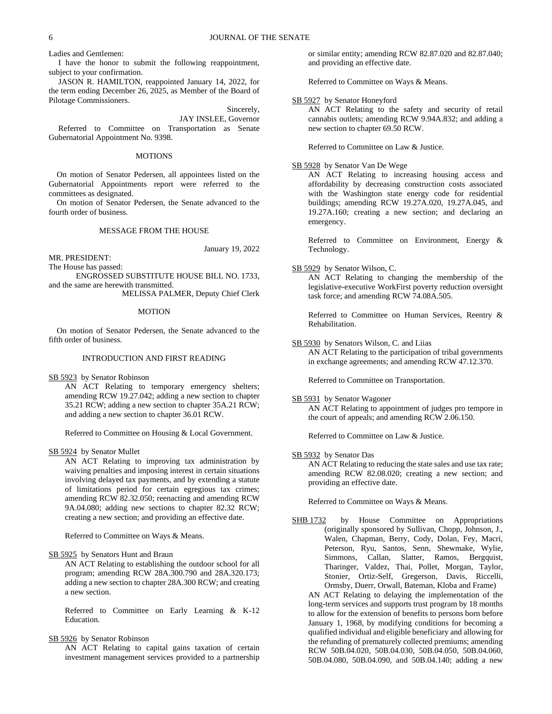Ladies and Gentlemen:

I have the honor to submit the following reappointment, subject to your confirmation.

JASON R. HAMILTON, reappointed January 14, 2022, for the term ending December 26, 2025, as Member of the Board of Pilotage Commissioners.

Sincerely,

JAY INSLEE, Governor Referred to Committee on Transportation as Senate Gubernatorial Appointment No. 9398.

#### MOTIONS

On motion of Senator Pedersen, all appointees listed on the Gubernatorial Appointments report were referred to the committees as designated.

On motion of Senator Pedersen, the Senate advanced to the fourth order of business.

#### MESSAGE FROM THE HOUSE

January 19, 2022

MR. PRESIDENT: The House has passed:

ENGROSSED SUBSTITUTE HOUSE BILL NO. 1733, and the same are herewith transmitted.

MELISSA PALMER, Deputy Chief Clerk

#### MOTION

On motion of Senator Pedersen, the Senate advanced to the fifth order of business.

#### INTRODUCTION AND FIRST READING

SB 5923 by Senator Robinson

AN ACT Relating to temporary emergency shelters; amending RCW 19.27.042; adding a new section to chapter 35.21 RCW; adding a new section to chapter 35A.21 RCW; and adding a new section to chapter 36.01 RCW.

Referred to Committee on Housing & Local Government.

SB 5924 by Senator Mullet

AN ACT Relating to improving tax administration by waiving penalties and imposing interest in certain situations involving delayed tax payments, and by extending a statute of limitations period for certain egregious tax crimes; amending RCW 82.32.050; reenacting and amending RCW 9A.04.080; adding new sections to chapter 82.32 RCW; creating a new section; and providing an effective date.

Referred to Committee on Ways & Means.

SB 5925 by Senators Hunt and Braun

AN ACT Relating to establishing the outdoor school for all program; amending RCW 28A.300.790 and 28A.320.173; adding a new section to chapter 28A.300 RCW; and creating a new section.

Referred to Committee on Early Learning & K-12 Education.

SB 5926 by Senator Robinson

AN ACT Relating to capital gains taxation of certain investment management services provided to a partnership or similar entity; amending RCW 82.87.020 and 82.87.040; and providing an effective date.

Referred to Committee on Ways & Means.

#### SB 5927 by Senator Honeyford

AN ACT Relating to the safety and security of retail cannabis outlets; amending RCW 9.94A.832; and adding a new section to chapter 69.50 RCW.

Referred to Committee on Law & Justice.

#### SB 5928 by Senator Van De Wege

AN ACT Relating to increasing housing access and affordability by decreasing construction costs associated with the Washington state energy code for residential buildings; amending RCW 19.27A.020, 19.27A.045, and 19.27A.160; creating a new section; and declaring an emergency.

Referred to Committee on Environment, Energy & Technology.

SB 5929 by Senator Wilson, C.

AN ACT Relating to changing the membership of the legislative-executive WorkFirst poverty reduction oversight task force; and amending RCW 74.08A.505.

Referred to Committee on Human Services, Reentry & Rehabilitation.

SB 5930 by Senators Wilson, C. and Liias

AN ACT Relating to the participation of tribal governments in exchange agreements; and amending RCW 47.12.370.

Referred to Committee on Transportation.

SB 5931 by Senator Wagoner

AN ACT Relating to appointment of judges pro tempore in the court of appeals; and amending RCW 2.06.150.

Referred to Committee on Law & Justice.

SB 5932 by Senator Das

AN ACT Relating to reducing the state sales and use tax rate; amending RCW 82.08.020; creating a new section; and providing an effective date.

Referred to Committee on Ways & Means.

SHB 1732 by House Committee on Appropriations (originally sponsored by Sullivan, Chopp, Johnson, J., Walen, Chapman, Berry, Cody, Dolan, Fey, Macri, Peterson, Ryu, Santos, Senn, Shewmake, Wylie, Simmons, Callan, Slatter, Ramos, Bergquist, Tharinger, Valdez, Thai, Pollet, Morgan, Taylor, Stonier, Ortiz-Self, Gregerson, Davis, Riccelli, Ormsby, Duerr, Orwall, Bateman, Kloba and Frame)

AN ACT Relating to delaying the implementation of the long-term services and supports trust program by 18 months to allow for the extension of benefits to persons born before January 1, 1968, by modifying conditions for becoming a qualified individual and eligible beneficiary and allowing for the refunding of prematurely collected premiums; amending RCW 50B.04.020, 50B.04.030, 50B.04.050, 50B.04.060, 50B.04.080, 50B.04.090, and 50B.04.140; adding a new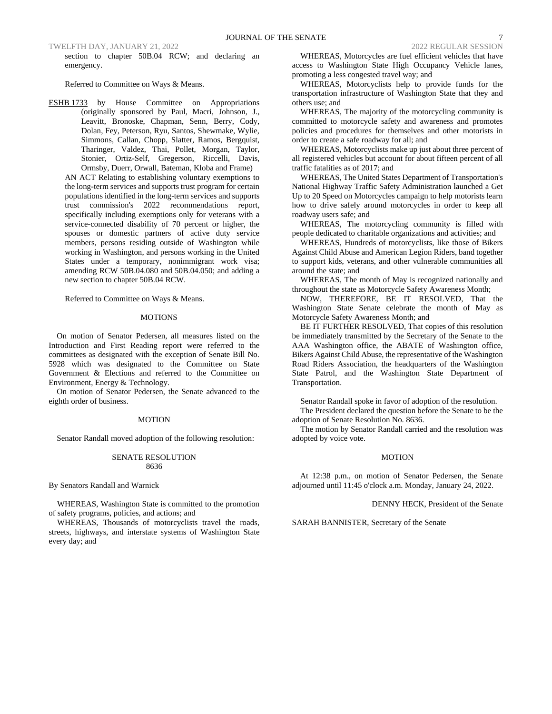TWELFTH DAY, JANUARY 21, 2022 2022 REGULAR SESSION

section to chapter 50B.04 RCW; and declaring an emergency.

Referred to Committee on Ways & Means.

ESHB 1733 by House Committee on Appropriations (originally sponsored by Paul, Macri, Johnson, J., Leavitt, Bronoske, Chapman, Senn, Berry, Cody, Dolan, Fey, Peterson, Ryu, Santos, Shewmake, Wylie, Simmons, Callan, Chopp, Slatter, Ramos, Bergquist, Tharinger, Valdez, Thai, Pollet, Morgan, Taylor, Stonier, Ortiz-Self, Gregerson, Riccelli, Davis, Ormsby, Duerr, Orwall, Bateman, Kloba and Frame)

AN ACT Relating to establishing voluntary exemptions to the long-term services and supports trust program for certain populations identified in the long-term services and supports trust commission's 2022 recommendations report, specifically including exemptions only for veterans with a service-connected disability of 70 percent or higher, the spouses or domestic partners of active duty service members, persons residing outside of Washington while working in Washington, and persons working in the United States under a temporary, nonimmigrant work visa; amending RCW 50B.04.080 and 50B.04.050; and adding a new section to chapter 50B.04 RCW.

Referred to Committee on Ways & Means.

#### **MOTIONS**

On motion of Senator Pedersen, all measures listed on the Introduction and First Reading report were referred to the committees as designated with the exception of Senate Bill No. 5928 which was designated to the Committee on State Government & Elections and referred to the Committee on Environment, Energy & Technology.

On motion of Senator Pedersen, the Senate advanced to the eighth order of business.

#### MOTION

Senator Randall moved adoption of the following resolution:

#### SENATE RESOLUTION 8636

By Senators Randall and Warnick

WHEREAS, Washington State is committed to the promotion of safety programs, policies, and actions; and

WHEREAS, Thousands of motorcyclists travel the roads, streets, highways, and interstate systems of Washington State every day; and

WHEREAS, Motorcycles are fuel efficient vehicles that have access to Washington State High Occupancy Vehicle lanes, promoting a less congested travel way; and

WHEREAS, Motorcyclists help to provide funds for the transportation infrastructure of Washington State that they and others use; and

WHEREAS, The majority of the motorcycling community is committed to motorcycle safety and awareness and promotes policies and procedures for themselves and other motorists in order to create a safe roadway for all; and

WHEREAS, Motorcyclists make up just about three percent of all registered vehicles but account for about fifteen percent of all traffic fatalities as of 2017; and

WHEREAS, The United States Department of Transportation's National Highway Traffic Safety Administration launched a Get Up to 20 Speed on Motorcycles campaign to help motorists learn how to drive safely around motorcycles in order to keep all roadway users safe; and

WHEREAS, The motorcycling community is filled with people dedicated to charitable organizations and activities; and

WHEREAS, Hundreds of motorcyclists, like those of Bikers Against Child Abuse and American Legion Riders, band together to support kids, veterans, and other vulnerable communities all around the state; and

WHEREAS, The month of May is recognized nationally and throughout the state as Motorcycle Safety Awareness Month;

NOW, THEREFORE, BE IT RESOLVED, That the Washington State Senate celebrate the month of May as Motorcycle Safety Awareness Month; and

BE IT FURTHER RESOLVED, That copies of this resolution be immediately transmitted by the Secretary of the Senate to the AAA Washington office, the ABATE of Washington office, Bikers Against Child Abuse, the representative of the Washington Road Riders Association, the headquarters of the Washington State Patrol, and the Washington State Department of Transportation.

Senator Randall spoke in favor of adoption of the resolution.

The President declared the question before the Senate to be the adoption of Senate Resolution No. 8636.

The motion by Senator Randall carried and the resolution was adopted by voice vote.

#### MOTION

At 12:38 p.m., on motion of Senator Pedersen, the Senate adjourned until 11:45 o'clock a.m. Monday, January 24, 2022.

DENNY HECK, President of the Senate

SARAH BANNISTER, Secretary of the Senate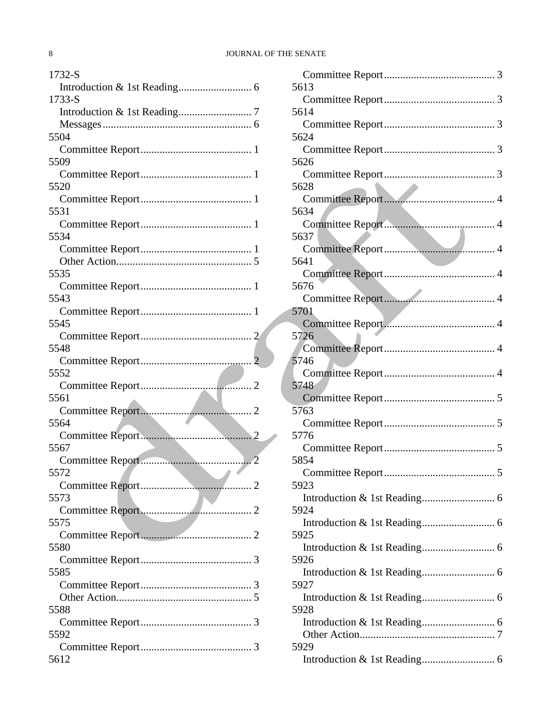## 8 JOURNAL OF THE SENATE

| 1732-S |
|--------|
|        |
| 1733-S |
|        |
|        |
| 5504   |
|        |
| 5509   |
|        |
| 5520   |
|        |
| 5531   |
|        |
|        |
| 5534   |
|        |
|        |
| 5535   |
|        |
| 5543   |
|        |
| 5545   |
|        |
| 5548   |
|        |
| 5552   |
|        |
|        |
| 5561   |
|        |
| 5564   |
|        |
|        |
| 5567   |
|        |
| 5572   |
|        |
| 5573   |
|        |
| 5575   |
|        |
| 5580   |
|        |
| 5585   |
|        |
|        |
| 5588   |
|        |
| 5592   |
| 5612   |

| 5613                          |
|-------------------------------|
|                               |
| 5614                          |
|                               |
| 5624                          |
|                               |
| 5626                          |
|                               |
| 5628<br>$\blacktriangleright$ |
|                               |
|                               |
| 5634                          |
|                               |
| 5637                          |
|                               |
| 5641                          |
|                               |
| 5676                          |
|                               |
| 5701                          |
|                               |
| 5726                          |
|                               |
| 5746                          |
|                               |
|                               |
| 5748                          |
|                               |
| 5763                          |
|                               |
| 5776                          |
|                               |
| 5854                          |
| Committee Report<br>5         |
| 5923                          |
|                               |
| 5924                          |
|                               |
| 5925                          |
|                               |
|                               |
| 5926                          |
|                               |
| 5927                          |
|                               |
| 5928                          |
|                               |
|                               |
| 5929                          |
|                               |
|                               |